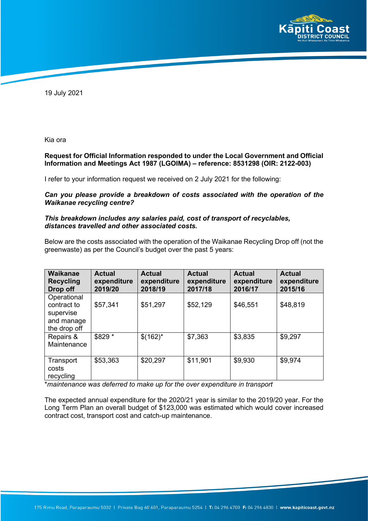

19 July 2021

Kia ora

#### **Request for Official Information responded to under the Local Government and Official Information and Meetings Act 1987 (LGOIMA) – reference: 8531298 (OIR: 2122-003)**

I refer to your information request we received on 2 July 2021 for the following:

*Can you please provide a breakdown of costs associated with the operation of the Waikanae recycling centre?* 

#### *This breakdown includes any salaries paid, cost of transport of recyclables, distances travelled and other associated costs.*

Below are the costs associated with the operation of the Waikanae Recycling Drop off (not the greenwaste) as per the Council's budget over the past 5 years:

| Waikanae<br><b>Recycling</b><br>Drop off                              | <b>Actual</b><br>expenditure<br>2019/20 | <b>Actual</b><br>expenditure<br>2018/19 | <b>Actual</b><br>expenditure<br>2017/18 | <b>Actual</b><br>expenditure<br>2016/17 | <b>Actual</b><br>expenditure<br>2015/16 |
|-----------------------------------------------------------------------|-----------------------------------------|-----------------------------------------|-----------------------------------------|-----------------------------------------|-----------------------------------------|
| Operational<br>contract to<br>supervise<br>and manage<br>the drop off | \$57,341                                | \$51,297                                | \$52,129                                | \$46,551                                | \$48,819                                |
| Repairs &<br>Maintenance                                              | \$829 *                                 | $$(162)^*$                              | \$7,363                                 | \$3,835                                 | \$9,297                                 |
| Transport<br>costs<br>recycling                                       | \$53,363                                | \$20,297                                | \$11,901                                | \$9,930                                 | \$9,974                                 |

\**maintenance was deferred to make up for the over expenditure in transport*

The expected annual expenditure for the 2020/21 year is similar to the 2019/20 year. For the Long Term Plan an overall budget of \$123,000 was estimated which would cover increased contract cost, transport cost and catch-up maintenance.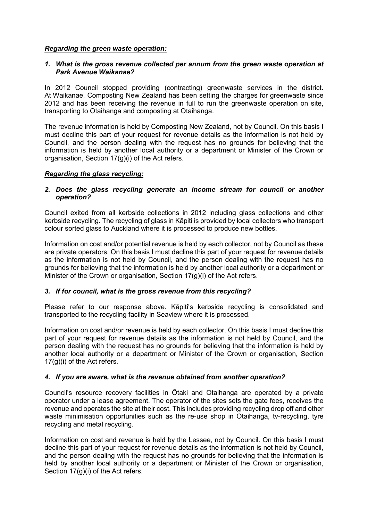#### *Regarding the green waste operation:*

#### *1. What is the gross revenue collected per annum from the green waste operation at Park Avenue Waikanae?*

In 2012 Council stopped providing (contracting) greenwaste services in the district. At Waikanae, Composting New Zealand has been setting the charges for greenwaste since 2012 and has been receiving the revenue in full to run the greenwaste operation on site, transporting to Otaihanga and composting at Otaihanga.

The revenue information is held by Composting New Zealand, not by Council. On this basis I must decline this part of your request for revenue details as the information is not held by Council, and the person dealing with the request has no grounds for believing that the information is held by another local authority or a department or Minister of the Crown or organisation, Section 17(g)(i) of the Act refers.

#### *Regarding the glass recycling:*

### *2. Does the glass recycling generate an income stream for council or another operation?*

Council exited from all kerbside collections in 2012 including glass collections and other kerbside recycling. The recycling of glass in Kāpiti is provided by local collectors who transport colour sorted glass to Auckland where it is processed to produce new bottles.

Information on cost and/or potential revenue is held by each collector, not by Council as these are private operators. On this basis I must decline this part of your request for revenue details as the information is not held by Council, and the person dealing with the request has no grounds for believing that the information is held by another local authority or a department or Minister of the Crown or organisation, Section 17(g)(i) of the Act refers.

## *3. If for council, what is the gross revenue from this recycling?*

Please refer to our response above. Kāpiti's kerbside recycling is consolidated and transported to the recycling facility in Seaview where it is processed.

Information on cost and/or revenue is held by each collector. On this basis I must decline this part of your request for revenue details as the information is not held by Council, and the person dealing with the request has no grounds for believing that the information is held by another local authority or a department or Minister of the Crown or organisation, Section 17(g)(i) of the Act refers.

## *4. If you are aware, what is the revenue obtained from another operation?*

Council's resource recovery facilities in Ōtaki and Otaihanga are operated by a private operator under a lease agreement. The operator of the sites sets the gate fees, receives the revenue and operates the site at their cost. This includes providing recycling drop off and other waste minimisation opportunities such as the re-use shop in Otaihanga, tv-recycling, tyre recycling and metal recycling.

Information on cost and revenue is held by the Lessee, not by Council. On this basis I must decline this part of your request for revenue details as the information is not held by Council, and the person dealing with the request has no grounds for believing that the information is held by another local authority or a department or Minister of the Crown or organisation, Section 17(g)(i) of the Act refers.